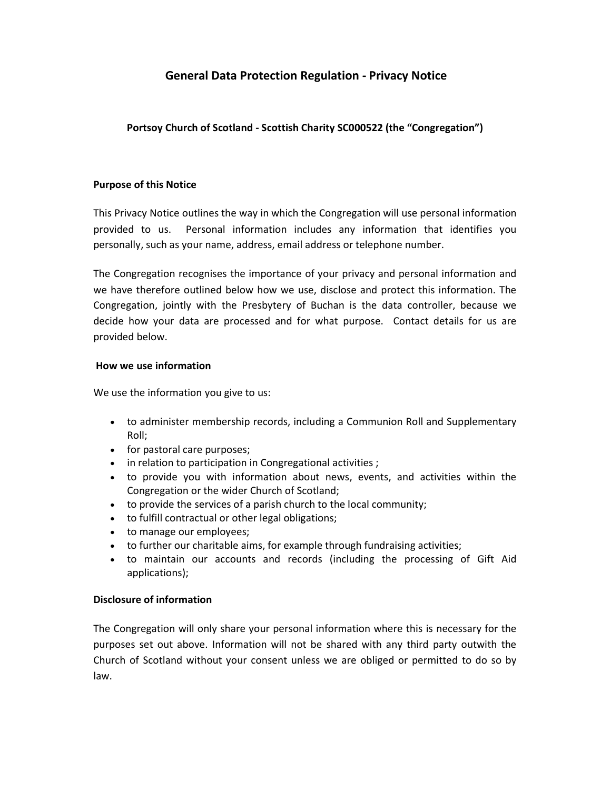# **General Data Protection Regulation - Privacy Notice**

# **Portsoy Church of Scotland - Scottish Charity SC000522 (the "Congregation")**

### **Purpose of this Notice**

This Privacy Notice outlines the way in which the Congregation will use personal information provided to us. Personal information includes any information that identifies you personally, such as your name, address, email address or telephone number.

The Congregation recognises the importance of your privacy and personal information and we have therefore outlined below how we use, disclose and protect this information. The Congregation, jointly with the Presbytery of Buchan is the data controller, because we decide how your data are processed and for what purpose. Contact details for us are provided below.

### **How we use information**

We use the information you give to us:

- to administer membership records, including a Communion Roll and Supplementary Roll;
- for pastoral care purposes;
- in relation to participation in Congregational activities ;
- to provide you with information about news, events, and activities within the Congregation or the wider Church of Scotland;
- to provide the services of a parish church to the local community;
- to fulfill contractual or other legal obligations;
- to manage our employees;
- to further our charitable aims, for example through fundraising activities;
- to maintain our accounts and records (including the processing of Gift Aid applications);

### **Disclosure of information**

The Congregation will only share your personal information where this is necessary for the purposes set out above. Information will not be shared with any third party outwith the Church of Scotland without your consent unless we are obliged or permitted to do so by law.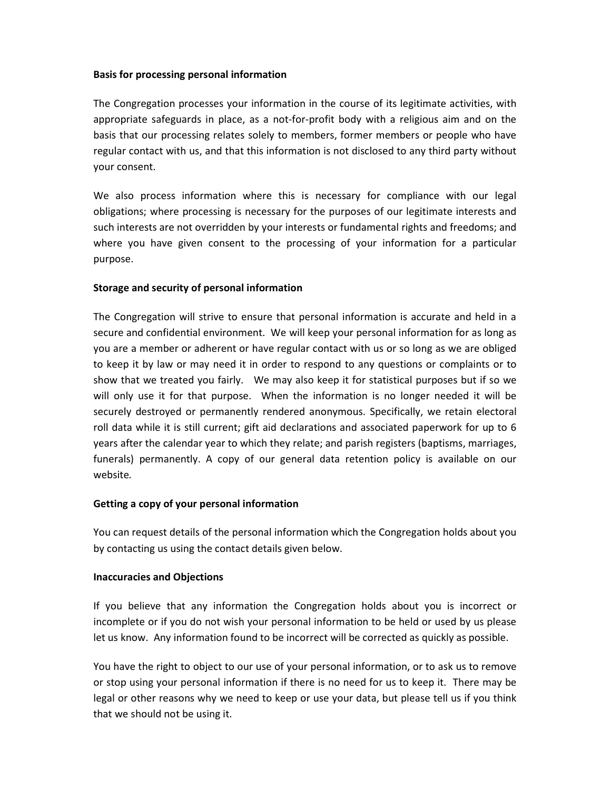### **Basis for processing personal information**

The Congregation processes your information in the course of its legitimate activities, with appropriate safeguards in place, as a not-for-profit body with a religious aim and on the basis that our processing relates solely to members, former members or people who have regular contact with us, and that this information is not disclosed to any third party without your consent.

We also process information where this is necessary for compliance with our legal obligations; where processing is necessary for the purposes of our legitimate interests and such interests are not overridden by your interests or fundamental rights and freedoms; and where you have given consent to the processing of your information for a particular purpose.

## **Storage and security of personal information**

The Congregation will strive to ensure that personal information is accurate and held in a secure and confidential environment. We will keep your personal information for as long as you are a member or adherent or have regular contact with us or so long as we are obliged to keep it by law or may need it in order to respond to any questions or complaints or to show that we treated you fairly. We may also keep it for statistical purposes but if so we will only use it for that purpose. When the information is no longer needed it will be securely destroyed or permanently rendered anonymous. Specifically, we retain electoral roll data while it is still current; gift aid declarations and associated paperwork for up to 6 years after the calendar year to which they relate; and parish registers (baptisms, marriages, funerals) permanently. A copy of our general data retention policy is available on our website*.*

### **Getting a copy of your personal information**

You can request details of the personal information which the Congregation holds about you by contacting us using the contact details given below.

### **Inaccuracies and Objections**

If you believe that any information the Congregation holds about you is incorrect or incomplete or if you do not wish your personal information to be held or used by us please let us know. Any information found to be incorrect will be corrected as quickly as possible.

You have the right to object to our use of your personal information, or to ask us to remove or stop using your personal information if there is no need for us to keep it. There may be legal or other reasons why we need to keep or use your data, but please tell us if you think that we should not be using it.